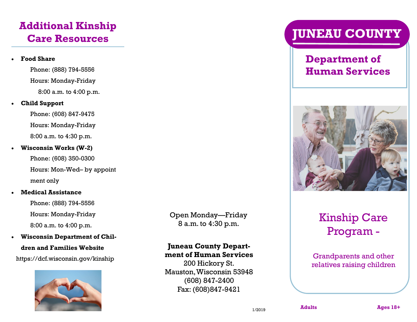# **Additional Kinship Care Resources**

## **Food Share**

Phone: (888) 794-5556 Hours: Monday-Friday 8:00 a.m. to 4:00 p.m.

### **Child Support**

 Phone: (608) 847-9475 Hours: Monday-Friday 8:00 a.m. to 4:30 p.m.

### **Wisconsin Works (W-2)**

Phone: (608) 350-0300 Hours: Mon-Wed– by appoint ment only

### **Medical Assistance**

Phone: (888) 794-5556 Hours: Monday-Friday 8:00 a.m. to 4:00 p.m.

**Wisconsin Department of Chil-**

### **dren and Families Website**

https://dcf.wisconsin.gov/kinship



Open Monday—Friday 8 a.m. to 4:30 p.m.

### **Juneau County Department of Human Services**

200 Hickory St. Mauston, Wisconsin 53948 (608) 847-2400 Fax: (608)847-9421

# **JUNEAU COUNTY**

# **Department of Human Services**



# Kinship Care Program -

Grandparents and other relatives raising children